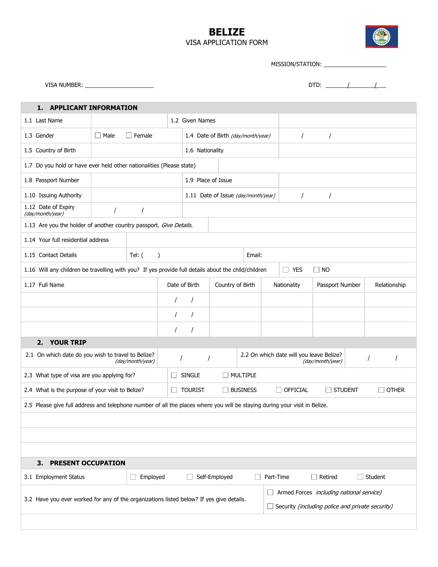## BELIZE VISA APPLICATION FORM



MISSION/STATION: \_\_\_\_\_\_\_\_\_\_\_\_\_\_\_\_\_\_\_\_

VISA NUMBER: \_\_\_\_\_\_\_\_\_\_\_\_\_\_\_\_\_\_\_\_\_\_ DTD: \_\_\_\_\_\_\_/\_\_\_\_\_\_\_\_/\_\_\_

| <b>APPLICANT INFORMATION</b><br>1.                                                                                             |                              |               |                 |                                     |               |                  |                                                  |                                                              |                 |  |                     |
|--------------------------------------------------------------------------------------------------------------------------------|------------------------------|---------------|-----------------|-------------------------------------|---------------|------------------|--------------------------------------------------|--------------------------------------------------------------|-----------------|--|---------------------|
| 1.1 Last Name                                                                                                                  |                              |               | 1.2 Given Names |                                     |               |                  |                                                  |                                                              |                 |  |                     |
| 1.3 Gender                                                                                                                     | $\Box$ Male<br>$\Box$ Female |               |                 | 1.4 Date of Birth (day/month/year)  |               |                  |                                                  |                                                              |                 |  |                     |
| 1.5 Country of Birth                                                                                                           |                              |               |                 | 1.6 Nationality                     |               |                  |                                                  |                                                              |                 |  |                     |
| 1.7 Do you hold or have ever held other nationalities (Please state)                                                           |                              |               |                 |                                     |               |                  |                                                  |                                                              |                 |  |                     |
| 1.8 Passport Number                                                                                                            |                              |               |                 | 1.9 Place of Issue                  |               |                  |                                                  |                                                              |                 |  |                     |
| 1.10 Issuing Authority                                                                                                         |                              |               |                 | 1.11 Date of Issue (day/month/year) |               |                  |                                                  |                                                              |                 |  |                     |
| 1.12 Date of Expiry<br>(day/month/year)                                                                                        |                              |               |                 |                                     |               |                  |                                                  |                                                              |                 |  |                     |
| 1.13 Are you the holder of another country passport. Give Details.                                                             |                              |               |                 |                                     |               |                  |                                                  |                                                              |                 |  |                     |
| 1.14 Your full residential address                                                                                             |                              |               |                 |                                     |               |                  |                                                  |                                                              |                 |  |                     |
| 1.15 Contact Details                                                                                                           | Tel: $($<br>$\lambda$        |               |                 |                                     | Email:        |                  |                                                  |                                                              |                 |  |                     |
| 1.16 Will any children be travelling with you? If yes provide full details about the child/children<br>$\Box$ YES<br>$\Box$ No |                              |               |                 |                                     |               |                  |                                                  |                                                              |                 |  |                     |
| 1.17 Full Name                                                                                                                 |                              |               | Date of Birth   |                                     |               | Country of Birth |                                                  | Nationality                                                  | Passport Number |  | Relationship        |
|                                                                                                                                |                              |               | $\prime$        |                                     |               |                  |                                                  |                                                              |                 |  |                     |
|                                                                                                                                |                              |               | $\prime$        |                                     |               |                  |                                                  |                                                              |                 |  |                     |
|                                                                                                                                |                              |               |                 | $\prime$                            |               |                  |                                                  |                                                              |                 |  |                     |
| <b>YOUR TRIP</b><br>2.                                                                                                         |                              |               |                 |                                     |               |                  |                                                  |                                                              |                 |  |                     |
| 2.1 On which date do you wish to travel to Belize?<br>(day/month/year)                                                         |                              |               |                 | $\prime$<br>I                       |               |                  |                                                  | 2.2 On which date will you leave Belize?<br>(day/month/year) |                 |  |                     |
| 2.3 What type of visa are you applying for?                                                                                    |                              |               |                 | <b>SINGLE</b><br>MULTIPLE           |               |                  |                                                  |                                                              |                 |  |                     |
| 2.4 What is the purpose of your visit to Belize?<br><b>TOURIST</b><br><b>BUSINESS</b><br>$\Box$ Official<br><b>STUDENT</b>     |                              |               |                 |                                     |               | <b>OTHER</b>     |                                                  |                                                              |                 |  |                     |
| 2.5 Please give full address and telephone number of all the places where you will be staying during your visit in Belize.     |                              |               |                 |                                     |               |                  |                                                  |                                                              |                 |  |                     |
|                                                                                                                                |                              |               |                 |                                     |               |                  |                                                  |                                                              |                 |  |                     |
|                                                                                                                                |                              |               |                 |                                     |               |                  |                                                  |                                                              |                 |  |                     |
|                                                                                                                                |                              |               |                 |                                     |               |                  |                                                  |                                                              |                 |  |                     |
| 3.<br><b>PRESENT OCCUPATION</b>                                                                                                |                              |               |                 |                                     |               |                  |                                                  |                                                              |                 |  |                     |
| 3.1 Employment Status                                                                                                          |                              | Employed<br>□ |                 |                                     | Self-Employed |                  | Part-Time                                        |                                                              | Retired<br>l.   |  | $\sqsupset$ Student |
| Armed Forces including national service)                                                                                       |                              |               |                 |                                     |               |                  |                                                  |                                                              |                 |  |                     |
| 3.2 Have you ever worked for any of the organizations listed below? If yes give details.                                       |                              |               |                 |                                     |               |                  | Security (including police and private security) |                                                              |                 |  |                     |
|                                                                                                                                |                              |               |                 |                                     |               |                  |                                                  |                                                              |                 |  |                     |